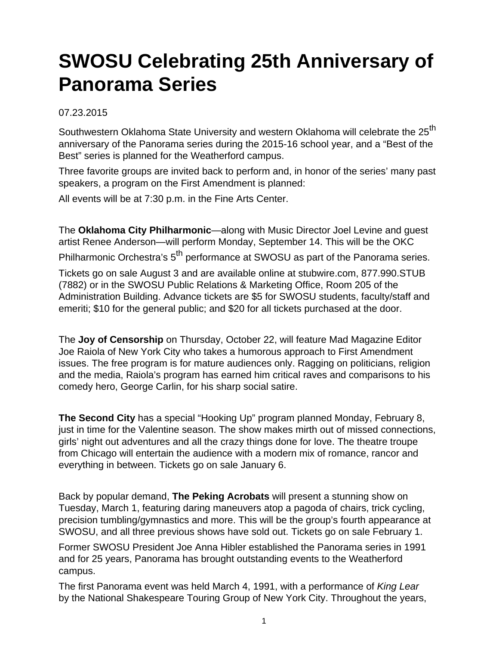## **SWOSU Celebrating 25th Anniversary of Panorama Series**

## 07.23.2015

Southwestern Oklahoma State University and western Oklahoma will celebrate the 25<sup>th</sup> anniversary of the Panorama series during the 2015-16 school year, and a "Best of the Best" series is planned for the Weatherford campus.

Three favorite groups are invited back to perform and, in honor of the series' many past speakers, a program on the First Amendment is planned:

All events will be at 7:30 p.m. in the Fine Arts Center.

The **Oklahoma City Philharmonic**—along with Music Director Joel Levine and guest artist Renee Anderson—will perform Monday, September 14. This will be the OKC Philharmonic Orchestra's 5<sup>th</sup> performance at SWOSU as part of the Panorama series. Tickets go on sale August 3 and are available online at stubwire.com, 877.990.STUB (7882) or in the SWOSU Public Relations & Marketing Office, Room 205 of the Administration Building. Advance tickets are \$5 for SWOSU students, faculty/staff and emeriti; \$10 for the general public; and \$20 for all tickets purchased at the door.

The **Joy of Censorship** on Thursday, October 22, will feature Mad Magazine Editor Joe Raiola of New York City who takes a humorous approach to First Amendment issues. The free program is for mature audiences only. Ragging on politicians, religion and the media, Raiola's program has earned him critical raves and comparisons to his comedy hero, George Carlin, for his sharp social satire.

**The Second City** has a special "Hooking Up" program planned Monday, February 8, just in time for the Valentine season. The show makes mirth out of missed connections, girls' night out adventures and all the crazy things done for love. The theatre troupe from Chicago will entertain the audience with a modern mix of romance, rancor and everything in between. Tickets go on sale January 6.

Back by popular demand, **The Peking Acrobats** will present a stunning show on Tuesday, March 1, featuring daring maneuvers atop a pagoda of chairs, trick cycling, precision tumbling/gymnastics and more. This will be the group's fourth appearance at SWOSU, and all three previous shows have sold out. Tickets go on sale February 1.

Former SWOSU President Joe Anna Hibler established the Panorama series in 1991 and for 25 years, Panorama has brought outstanding events to the Weatherford campus.

The first Panorama event was held March 4, 1991, with a performance of King Lear by the National Shakespeare Touring Group of New York City. Throughout the years,